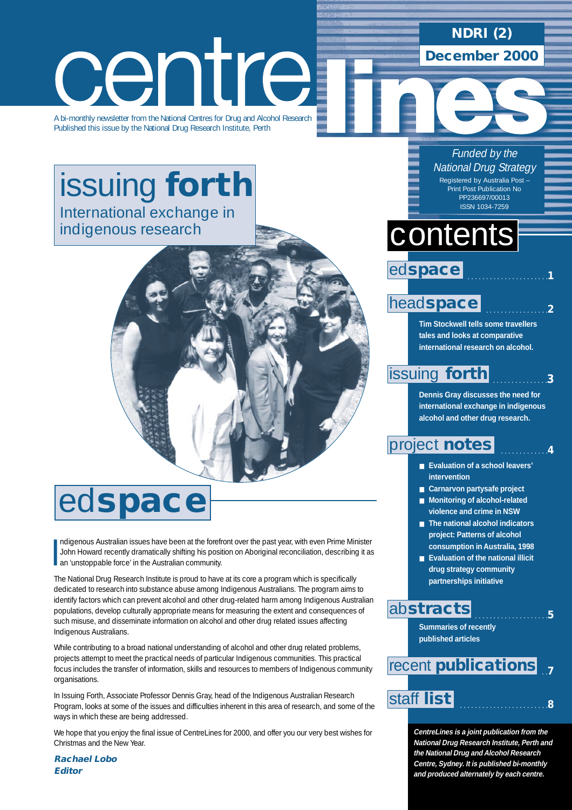## **NDRI (2)**

**December 2000**

# centre

A bi-monthly newsletter from the National Centres for Drug and Alcohol Research Published this issue by the National Drug Research Institute, Perth

# [issuing](#page-2-0) **forth** International exchange in indigenous research

# ed**space**

I ndigenous Australian issues have been at the forefront over the past year, with even Prime Minister John Howard recently dramatically shifting his position on Aboriginal reconciliation, describing it as an 'unstoppable force' in the Australian community.

The National Drug Research Institute is proud to have at its core a program which is specifically dedicated to research into substance abuse among Indigenous Australians. The program aims to identify factors which can prevent alcohol and other drug-related harm among Indigenous Australian populations, develop culturally appropriate means for measuring the extent and consequences of such misuse, and disseminate information on alcohol and other drug related issues affecting Indigenous Australians.

While contributing to a broad national understanding of alcohol and other drug related problems, projects attempt to meet the practical needs of particular Indigenous communities. This practical focus includes the transfer of information, skills and resources to members of Indigenous community organisations.

In Issuing Forth, Associate Professor Dennis Gray, head of the Indigenous Australian Research Program, looks at some of the issues and difficulties inherent in this area of research, and some of the ways in which these are being addressed.

We hope that you enjoy the final issue of CentreLines for 2000, and offer you our very best wishes for Christmas and the New Year.

**Rachael Lobo Editor**

#### Funded by the **National Drug Strategy**

Registered by Australia Post – Print Post Publication No PP236697/00013 ISSN 1034-7259

. . . . . . . . . . . . . . . . . . . . . .**1**

. . . . . . . . . . . . . . . . .**2**

. . . . . . . . . . . . . . .**3**

# contents

ed**space**

### head**[space](#page-1-0)**

**Tim Stockwell tells some travellers tales and looks at comparative international research on alcohol.**

### [issuing](#page-2-0) **forth**

**Dennis Gray discusses the need for international exchange in indigenous alcohol and other drug research.**

#### . . . . . . . . . . . . .**4** [project](#page-3-0) **notes**

- **Evaluation of a school leavers' intervention**
- **Carnarvon partysafe project**
- **Monitoring of alcohol-related violence and crime in NSW**
- **The national alcohol indicators project: Patterns of alcohol consumption in Australia, 1998**
- **Evaluation of the national illicit drug strategy community partnerships initiative**

. . . . . . . . . . . . . . . . . . . .**5**

### ab**[stracts](#page-5-0)**

**Summaries of recently published articles**

#### . .**7** recent **[publications](#page-6-0)**

## [staff](#page-7-0) . . . . . . . . . . . . . . . . . . . . . . . .**<sup>8</sup> list**

**CentreLines is a joint publication from the National Drug Research Institute, Perth and the National Drug and Alcohol Research Centre, Sydney. It is published bi-monthly and produced alternately by each centre.**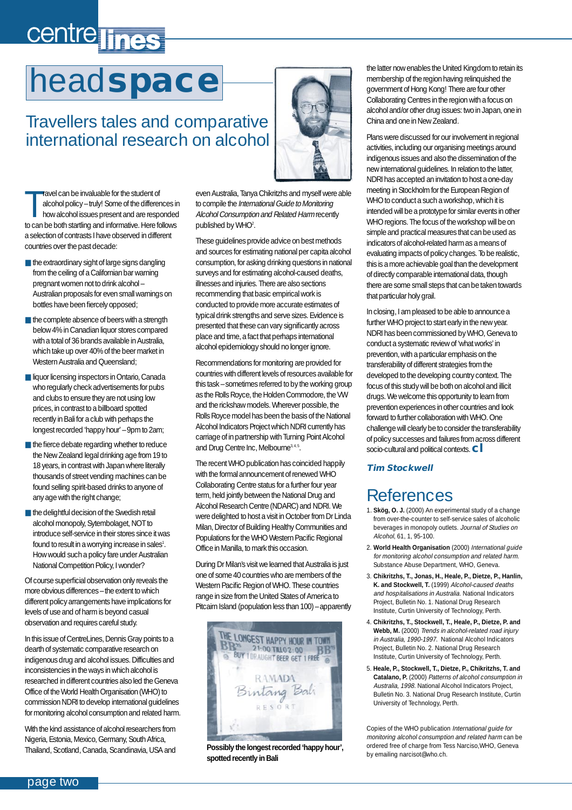# <span id="page-1-0"></span>centre lines

# head**space**

# Travellers tales and comparative international research on alcohol

Travel can be invaluable for the student of<br>alcohol policy – truly! Some of the differences in<br>how alcohol issues present and are responded<br>to can be both startling and informative. Here follows ravel can be invaluable for the student of alcohol policy – truly! Some of the differences in how alcohol issues present and are responded a selection of contrasts I have observed in different countries over the past decade:

- the extraordinary sight of large signs dangling from the ceiling of a Californian bar warning pregnant women not to drink alcohol – Australian proposals for even small warnings on bottles have been fiercely opposed;
- the complete absence of beers with a strength below 4% in Canadian liquor stores compared with a total of 36 brands available in Australia, which take up over 40% of the beer market in Western Australia and Queensland;
- liquor licensing inspectors in Ontario, Canada who regularly check advertisements for pubs and clubs to ensure they are not using low prices, in contrast to a billboard spotted recently in Bali for a club with perhaps the longest recorded 'happy hour' – 9pm to 2am;
- the fierce debate regarding whether to reduce the New Zealand legal drinking age from 19 to 18 years, in contrast with Japan where literally thousands of street vending machines can be found selling spirit-based drinks to anyone of any age with the right change;
- the delightful decision of the Swedish retail alcohol monopoly, Sytembolaget, NOT to introduce self-service in their stores since it was found to result in a worrying increase in sales<sup>1</sup>. How would such a policy fare under Australian National Competition Policy, I wonder?

Of course superficial observation only reveals the more obvious differences – the extent to which different policy arrangements have implications for levels of use and of harm is beyond casual observation and requires careful study.

In this issue of CentreLines, Dennis Gray points to a dearth of systematic comparative research on indigenous drug and alcohol issues. Difficulties and inconsistencies in the ways in which alcohol is researched in different countries also led the Geneva Office of the World Health Organisation (WHO) to commission NDRI to develop international guidelines for monitoring alcohol consumption and related harm.

With the kind assistance of alcohol researchers from Nigeria, Estonia, Mexico, Germany, South Africa, Thailand, Scotland, Canada, Scandinavia, USA and



even Australia, Tanya Chikritzhs and myself were able to compile the International Guide to Monitoring Alcohol Consumption and Related Harm recently published by WHO2 .

These guidelines provide advice on best methods and sources for estimating national per capita alcohol consumption, for asking drinking questions in national surveys and for estimating alcohol-caused deaths, illnesses and injuries. There are also sections recommending that basic empirical work is conducted to provide more accurate estimates of typical drink strengths and serve sizes. Evidence is presented that these can vary significantly across place and time, a fact that perhaps international alcohol epidemiology should no longer ignore.

Recommendations for monitoring are provided for countries with different levels of resources available for this task – sometimes referred to by the working group as the Rolls Royce, the Holden Commodore, the VW and the rickshaw models. Wherever possible, the Rolls Royce model has been the basis of the National Alcohol Indicators Project which NDRI currently has carriage of in partnership with Turning Point Alcohol and Drug Centre Inc, Melbourne<sup>3, 4, 5</sup>.

The recent WHO publication has coincided happily with the formal announcement of renewed WHO Collaborating Centre status for a further four year term, held jointly between the National Drug and Alcohol Research Centre (NDARC) and NDRI. We were delighted to host a visit in October from Dr Linda Milan, Director of Building Healthy Communities and Populations for the WHO Western Pacific Regional Office in Manilla, to mark this occasion.

During Dr Milan's visit we learned that Australia is just one of some 40 countries who are members of the Western Pacific Region of WHO. These countries range in size from the United States of America to Pitcairn Island (population less than 100) – apparently



**Possibly the longest recorded 'happy hour', spotted recently in Bali**

the latter now enables the United Kingdom to retain its membership of the region having relinquished the government of Hong Kong! There are four other Collaborating Centres in the region with a focus on alcohol and/or other drug issues: two in Japan, one in China and one in New Zealand.

Plans were discussed for our involvement in regional activities, including our organising meetings around indigenous issues and also the dissemination of the new international guidelines. In relation to the latter, NDRI has accepted an invitation to host a one-day meeting in Stockholm for the European Region of WHO to conduct a such a workshop, which it is intended will be a prototype for similar events in other WHO regions. The focus of the workshop will be on simple and practical measures that can be used as indicators of alcohol-related harm as a means of evaluating impacts of policy changes. To be realistic, this is a more achievable goal than the development of directly comparable international data, though there are some small steps that can be taken towards that particular holy grail.

In closing, I am pleased to be able to announce a further WHO project to start early in the new year. NDRI has been commissioned by WHO, Geneva to conduct a systematic review of 'what works' in prevention, with a particular emphasis on the transferability of different strategies from the developed to the developing country context. The focus of this study will be both on alcohol and illicit drugs. We welcome this opportunity to learn from prevention experiences in other countries and look forward to further collaboration with WHO. One challenge will clearly be to consider the transferability of policy successes and failures from across different socio-cultural and political contexts.**cl**

#### **Tim Stockwell**

### References

- 1. **Skög, O. J.** (2000) An experimental study of a change from over-the-counter to self-service sales of alcoholic beverages in monopoly outlets. Journal of Studies on Alcohol, 61, 1, 95-100.
- 2. **World Health Organisation** (2000) International guide for monitoring alcohol consumption and related harm. Substance Abuse Department, WHO, Geneva.
- 3. **Chikritzhs, T., Jonas, H., Heale, P., Dietze, P., Hanlin, K. and Stockwell, T.** (1999) Alcohol-caused deaths and hospitalisations in Australia. National Indicators Project, Bulletin No. 1. National Drug Research Institute, Curtin University of Technology, Perth.
- 4. **Chikritzhs, T., Stockwell, T., Heale, P., Dietze, P. and** Webb, M. (2000) Trends in alcohol-related road injury in Australia, 1990-1997. National Alcohol Indicators Project, Bulletin No. 2. National Drug Research Institute, Curtin University of Technology, Perth.
- 5. **Heale, P., Stockwell, T., Dietze, P., Chikritzhs, T. and Catalano, P.** (2000) Patterns of alcohol consumption in Australia, 1998. National Alcohol Indicators Project, Bulletin No. 3. National Drug Research Institute, Curtin University of Technology, Perth.

Copies of the WHO publication International guide for monitoring alcohol consumption and related harm can be ordered free of charge from Tess Narciso,WHO, Geneva by emailing narcisot@who.ch.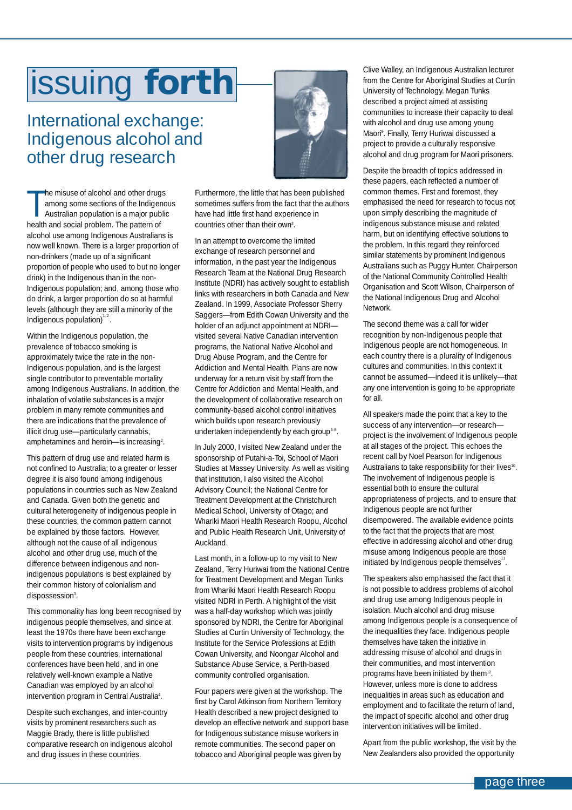# <span id="page-2-0"></span>issuing **forth**

## International exchange: Indigenous alcohol and other drug research

The misuse of alcohol and other drug<br>among some sections of the Indiger<br>Australian population is a major pub<br>health and social problem. The pattern of he misuse of alcohol and other drugs among some sections of the Indigenous Australian population is a major public alcohol use among Indigenous Australians is now well known. There is a larger proportion of non-drinkers (made up of a significant proportion of people who used to but no longer drink) in the Indigenous than in the non-Indigenous population; and, among those who do drink, a larger proportion do so at harmful levels (although they are still a minority of the Indigenous population) $1, 2$ .

Within the Indigenous population, the prevalence of tobacco smoking is approximately twice the rate in the non-Indigenous population, and is the largest single contributor to preventable mortality among Indigenous Australians. In addition, the inhalation of volatile substances is a major problem in many remote communities and there are indications that the prevalence of illicit drug use—particularly cannabis, amphetamines and heroin—is increasing<sup>2</sup>.

This pattern of drug use and related harm is not confined to Australia; to a greater or lesser degree it is also found among indigenous populations in countries such as New Zealand and Canada. Given both the genetic and cultural heterogeneity of indigenous people in these countries, the common pattern cannot be explained by those factors. However, although not the cause of all indigenous alcohol and other drug use, much of the difference between indigenous and nonindigenous populations is best explained by their common history of colonialism and dispossession<sup>3</sup>.

This commonality has long been recognised by indigenous people themselves, and since at least the 1970s there have been exchange visits to intervention programs by indigenous people from these countries, international conferences have been held, and in one relatively well-known example a Native Canadian was employed by an alcohol intervention program in Central Australia<sup>4</sup>.

Despite such exchanges, and inter-country visits by prominent researchers such as Maggie Brady, there is little published comparative research on indigenous alcohol and drug issues in these countries.



Furthermore, the little that has been published sometimes suffers from the fact that the authors have had little first hand experience in countries other than their own<sup>3</sup>.

In an attempt to overcome the limited exchange of research personnel and information, in the past year the Indigenous Research Team at the National Drug Research Institute (NDRI) has actively sought to establish links with researchers in both Canada and New Zealand. In 1999, Associate Professor Sherry Saggers—from Edith Cowan University and the holder of an adjunct appointment at NDRI visited several Native Canadian intervention programs, the National Native Alcohol and Drug Abuse Program, and the Centre for Addiction and Mental Health. Plans are now underway for a return visit by staff from the Centre for Addiction and Mental Health, and the development of collaborative research on community-based alcohol control initiatives which builds upon research previously undertaken independently by each group<sup>5-8</sup>.

In July 2000, I visited New Zealand under the sponsorship of Putahi-a-Toi, School of Maori Studies at Massey University. As well as visiting that institution, I also visited the Alcohol Advisory Council; the National Centre for Treatment Development at the Christchurch Medical School, University of Otago; and Whariki Maori Health Research Roopu, Alcohol and Public Health Research Unit, University of Auckland.

Last month, in a follow-up to my visit to New Zealand, Terry Huriwai from the National Centre for Treatment Development and Megan Tunks from Whariki Maori Health Research Roopu visited NDRI in Perth. A highlight of the visit was a half-day workshop which was jointly sponsored by NDRI, the Centre for Aboriginal Studies at Curtin University of Technology, the Institute for the Service Professions at Edith Cowan University, and Noongar Alcohol and Substance Abuse Service, a Perth-based community controlled organisation.

Four papers were given at the workshop. The first by Carol Atkinson from Northern Territory Health described a new project designed to develop an effective network and support base for Indigenous substance misuse workers in remote communities. The second paper on tobacco and Aboriginal people was given by

Clive Walley, an Indigenous Australian lecturer from the Centre for Aboriginal Studies at Curtin University of Technology. Megan Tunks described a project aimed at assisting communities to increase their capacity to deal with alcohol and drug use among young Maori9 . Finally, Terry Huriwai discussed a project to provide a culturally responsive alcohol and drug program for Maori prisoners.

Despite the breadth of topics addressed in these papers, each reflected a number of common themes. First and foremost, they emphasised the need for research to focus not upon simply describing the magnitude of indigenous substance misuse and related harm, but on identifying effective solutions to the problem. In this regard they reinforced similar statements by prominent Indigenous Australians such as Puggy Hunter, Chairperson of the National Community Controlled Health Organisation and Scott Wilson, Chairperson of the National Indigenous Drug and Alcohol Network.

The second theme was a call for wider recognition by non-Indigenous people that Indigenous people are not homogeneous. In each country there is a plurality of Indigenous cultures and communities. In this context it cannot be assumed—indeed it is unlikely—that any one intervention is going to be appropriate for all.

All speakers made the point that a key to the success of any intervention—or research project is the involvement of Indigenous people at all stages of the project. This echoes the recent call by Noel Pearson for Indigenous Australians to take responsibility for their lives<sup>10</sup>. The involvement of Indigenous people is essential both to ensure the cultural appropriateness of projects, and to ensure that Indigenous people are not further disempowered. The available evidence points to the fact that the projects that are most effective in addressing alcohol and other drug misuse among Indigenous people are those initiated by Indigenous people themselves $1$ .

The speakers also emphasised the fact that it is not possible to address problems of alcohol and drug use among Indigenous people in isolation. Much alcohol and drug misuse among Indigenous people is a consequence of the inequalities they face. Indigenous people themselves have taken the initiative in addressing misuse of alcohol and drugs in their communities, and most intervention programs have been initiated by them<sup>12</sup>. However, unless more is done to address inequalities in areas such as education and employment and to facilitate the return of land, the impact of specific alcohol and other drug intervention initiatives will be limited.

Apart from the public workshop, the visit by the New Zealanders also provided the opportunity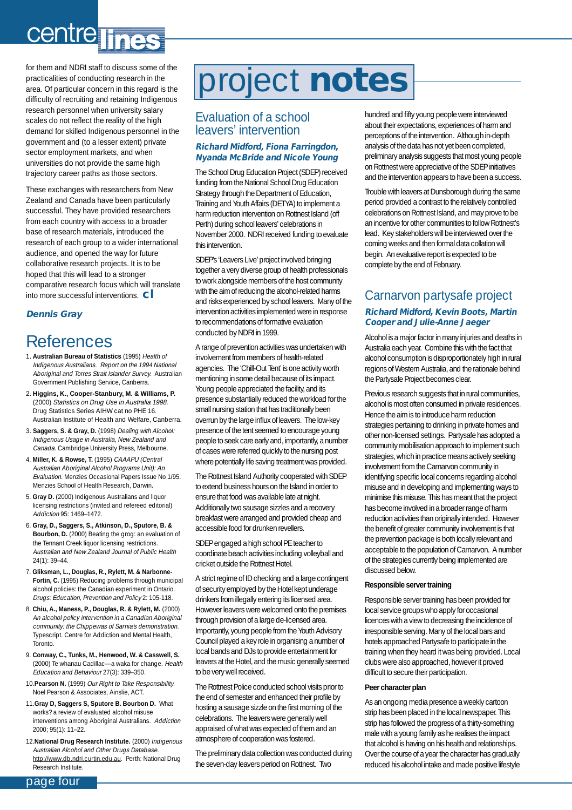# <span id="page-3-0"></span>centre line

for them and NDRI staff to discuss some of the practicalities of conducting research in the area. Of particular concern in this regard is the difficulty of recruiting and retaining Indigenous research personnel when university salary scales do not reflect the reality of the high demand for skilled Indigenous personnel in the government and (to a lesser extent) private sector employment markets, and when universities do not provide the same high trajectory career paths as those sectors.

These exchanges with researchers from New Zealand and Canada have been particularly successful. They have provided researchers from each country with access to a broader base of research materials, introduced the research of each group to a wider international audience, and opened the way for future collaborative research projects. It is to be hoped that this will lead to a stronger comparative research focus which will translate into more successful interventions. **cl**

#### **Dennis Gray**

# References

- 1. **Australian Bureau of Statistics** (1995) Health of Indigenous Australians. Report on the 1994 National Aboriginal and Torres Strait Islander Survey. Australian Government Publishing Service, Canberra.
- 2. **Higgins, K., Cooper-Stanbury, M. & Williams, P.** (2000) Statistics on Drug Use in Australia 1998. Drug Statistics Series AIHW cat no PHE 16. Australian Institute of Health and Welfare, Canberra.
- 3. **Saggers, S. & Gray, D.** (1998) Dealing with Alcohol: Indigenous Usage in Australia, New Zealand and Canada. Cambridge University Press, Melbourne.
- 4. **Miller, K. & Rowse, T.** (1995) CAAAPU (Central Australian Aboriginal Alcohol Programs Unit): An Evaluation. Menzies Occasional Papers Issue No 1/95. Menzies School of Health Research, Darwin.
- 5. **Gray D.** (2000) Indigenous Australians and liquor licensing restrictions (invited and refereed editorial) Addiction 95: 1469–1472.
- 6. **Gray, D., Saggers, S., Atkinson, D., Sputore, B. & Bourbon, D.** (2000) Beating the grog: an evaluation of the Tennant Creek liquor licensing restrictions. Australian and New Zealand Journal of Public Health 24(1): 39–44.
- 7. **Gliksman, L., Douglas, R., Rylett, M. & Narbonne-Fortin, C.** (1995) Reducing problems through municipal alcohol policies: the Canadian experiment in Ontario. Drugs: Education, Prevention and Policy 2: 105-118.
- 8. **Chiu, A., Maness, P., Douglas, R. & Rylett, M.** (2000) An alcohol policy intervention in a Canadian Aboriginal community: the Chippewas of Sarnia's demonstration. Typescript. Centre for Addiction and Mental Health, Toronto.
- 9. **Conway, C., Tunks, M., Henwood, W. & Casswell, S.** (2000) Te whanau Cadillac—a waka for change. Health Education and Behaviour 27(3): 339–350.
- 10.**Pearson N.** (1999) Our Right to Take Responsibility. Noel Pearson & Associates, Ainslie, ACT.
- 11.**Gray D, Saggers S, Sputore B. Bourbon D.** What works? a review of evaluated alcohol misuse interventions among Aboriginal Australians. Addiction 2000; 95(1): 11–22.
- 12.**National Drug Research Institute.** (2000) Indigenous Australian Alcohol and Other Drugs Database. http://www.db.ndri.curtin.edu.au. Perth: National Drug Research Institute.

# project **notes**

#### Evaluation of a school leavers' intervention

#### **Richard Midford, Fiona Farringdon, Nyanda McBride and Nicole Young**

The School Drug Education Project (SDEP) received funding from the National School Drug Education Strategy through the Department of Education, Training and Youth Affairs (DETYA) to implement a harm reduction intervention on Rottnest Island (off Perth) during school leavers' celebrations in November 2000. NDRI received funding to evaluate this intervention.

SDEP's 'Leavers Live' project involved bringing together a very diverse group of health professionals to work alongside members of the host community with the aim of reducing the alcohol-related harms and risks experienced by school leavers. Many of the intervention activities implemented were in response to recommendations of formative evaluation conducted by NDRI in 1999.

A range of prevention activities was undertaken with involvement from members of health-related agencies. The 'Chill-Out Tent' is one activity worth mentioning in some detail because of its impact. Young people appreciated the facility, and its presence substantially reduced the workload for the small nursing station that has traditionally been overrun by the large influx of leavers. The low-key presence of the tent seemed to encourage young people to seek care early and, importantly, a number of cases were referred quickly to the nursing post where potentially life saving treatment was provided.

The Rottnest Island Authority cooperated with SDEP to extend business hours on the Island in order to ensure that food was available late at night. Additionally two sausage sizzles and a recovery breakfast were arranged and provided cheap and accessible food for drunken revellers.

SDEP engaged a high school PE teacher to coordinate beach activities including volleyball and cricket outside the Rottnest Hotel.

A strict regime of ID checking and a large contingent of security employed by the Hotel kept underage drinkers from illegally entering its licensed area. However leavers were welcomed onto the premises through provision of a large de-licensed area. Importantly, young people from the Youth Advisory Council played a key role in organising a number of local bands and DJs to provide entertainment for leavers at the Hotel, and the music generally seemed to be very well received.

The Rottnest Police conducted school visits prior to the end of semester and enhanced their profile by hosting a sausage sizzle on the first morning of the celebrations. The leavers were generally well appraised of what was expected of them and an atmosphere of cooperation was fostered.

The preliminary data collection was conducted during the seven-day leavers period on Rottnest. Two

hundred and fifty young people were interviewed about their expectations, experiences of harm and perceptions of the intervention. Although in-depth analysis of the data has not yet been completed, preliminary analysis suggests that most young people on Rottnest were appreciative of the SDEP initiatives and the intervention appears to have been a success.

Trouble with leavers at Dunsborough during the same period provided a contrast to the relatively controlled celebrations on Rottnest Island, and may prove to be an incentive for other communities to follow Rottnest's lead. Key stakeholders will be interviewed over the coming weeks and then formal data collation will begin. An evaluative report is expected to be complete by the end of February.

### Carnarvon partysafe project

#### **Richard Midford, Kevin Boots, Martin Cooper and Julie-Anne Jaeger**

Alcohol is a major factor in many injuries and deaths in Australia each year. Combine this with the fact that alcohol consumption is disproportionately high in rural regions of Western Australia, and the rationale behind the Partysafe Project becomes clear.

Previous research suggests that in rural communities, alcohol is most often consumed in private residences. Hence the aim is to introduce harm reduction strategies pertaining to drinking in private homes and other non-licensed settings. Partysafe has adopted a community mobilisation approach to implement such strategies, which in practice means actively seeking involvement from the Carnarvon community in identifying specific local concerns regarding alcohol misuse and in developing and implementing ways to minimise this misuse. This has meant that the project has become involved in a broader range of harm reduction activities than originally intended. However the benefit of greater community involvement is that the prevention package is both locally relevant and acceptable to the population of Carnarvon. A number of the strategies currently being implemented are discussed below.

#### **Responsible server training**

Responsible server training has been provided for local service groups who apply for occasional licences with a view to decreasing the incidence of irresponsible serving. Many of the local bars and hotels approached Partysafe to participate in the training when they heard it was being provided. Local clubs were also approached, however it proved difficult to secure their participation.

#### **Peer character plan**

As an ongoing media presence a weekly cartoon strip has been placed in the local newspaper. This strip has followed the progress of a thirty-something male with a young family as he realises the impact that alcohol is having on his health and relationships. Over the course of a year the character has gradually reduced his alcohol intake and made positive lifestyle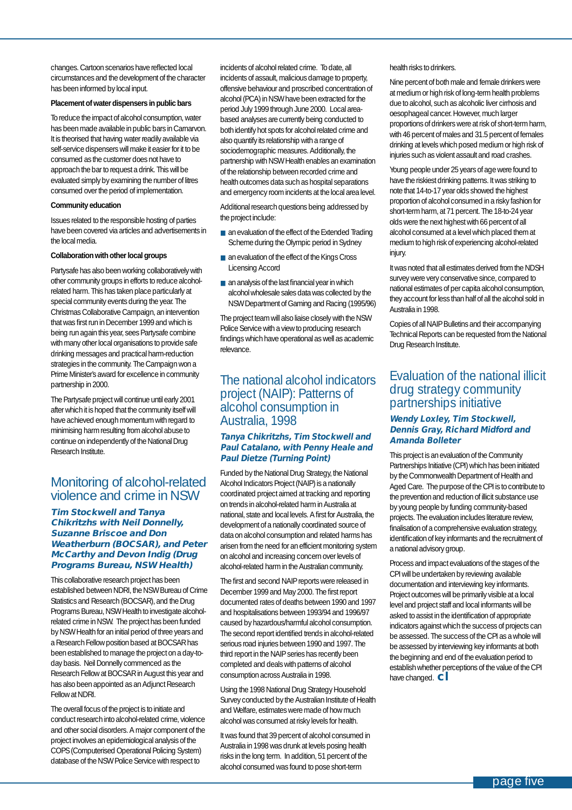changes. Cartoon scenarios have reflected local circumstances and the development of the character has been informed by local input.

#### **Placement of water dispensers in public bars**

To reduce the impact of alcohol consumption, water has been made available in public bars in Carnarvon. It is theorised that having water readily available via self-service dispensers will make it easier for it to be consumed as the customer does not have to approach the bar to request a drink. This will be evaluated simply by examining the number of litres consumed over the period of implementation.

#### **Community education**

Issues related to the responsible hosting of parties have been covered via articles and advertisements in the local media.

#### **Collaboration with other local groups**

Partysafe has also been working collaboratively with other community groups in efforts to reduce alcoholrelated harm. This has taken place particularly at special community events during the year. The Christmas Collaborative Campaign, an intervention that was first run in December 1999 and which is being run again this year, sees Partysafe combine with many other local organisations to provide safe drinking messages and practical harm-reduction strategies in the community. The Campaign won a Prime Minister's award for excellence in community partnership in 2000.

The Partysafe project will continue until early 2001 after which it is hoped that the community itself will have achieved enough momentum with regard to minimising harm resulting from alcohol abuse to continue on independently of the National Drug Research Institute.

#### Monitoring of alcohol-related violence and crime in NSW

#### **Tim Stockwell and Tanya Chikritzhs with Neil Donnelly, Suzanne Briscoe and Don Weatherburn (BOCSAR), and Peter McCarthy and Devon Indig (Drug Programs Bureau, NSW Health)**

This collaborative research project has been established between NDRI, the NSW Bureau of Crime Statistics and Research (BOCSAR), and the Drug Programs Bureau, NSW Health to investigate alcoholrelated crime in NSW. The project has been funded by NSW Health for an initial period of three years and a Research Fellow position based at BOCSAR has been established to manage the project on a day-today basis. Neil Donnelly commenced as the Research Fellow at BOCSAR in August this year and has also been appointed as an Adjunct Research Fellow at NDRI.

The overall focus of the project is to initiate and conduct research into alcohol-related crime, violence and other social disorders. A major component of the project involves an epidemiological analysis of the COPS (Computerised Operational Policing System) database of the NSW Police Service with respect to

incidents of alcohol related crime. To date, all incidents of assault, malicious damage to property, offensive behaviour and proscribed concentration of alcohol (PCA) in NSW have been extracted for the period July 1999 through June 2000. Local areabased analyses are currently being conducted to both identify hot spots for alcohol related crime and also quantify its relationship with a range of sociodemographic measures. Additionally, the partnership with NSW Health enables an examination of the relationship between recorded crime and health outcomes data such as hospital separations and emergency room incidents at the local area level.

Additional research questions being addressed by the project include:

- an evaluation of the effect of the Extended Trading Scheme during the Olympic period in Sydney
- an evaluation of the effect of the Kings Cross Licensing Accord
- an analysis of the last financial year in which alcohol wholesale sales data was collected by the NSW Department of Gaming and Racing (1995/96)

The project team will also liaise closely with the NSW Police Service with a view to producing research findings which have operational as well as academic relevance.

#### The national alcohol indicators project (NAIP): Patterns of alcohol consumption in Australia, 1998

#### **Tanya Chikritzhs, Tim Stockwell and Paul Catalano, with Penny Heale and Paul Dietze (Turning Point)**

Funded by the National Drug Strategy, the National Alcohol Indicators Project (NAIP) is a nationally coordinated project aimed at tracking and reporting on trends in alcohol-related harm in Australia at national, state and local levels. A first for Australia, the development of a nationally coordinated source of data on alcohol consumption and related harms has arisen from the need for an efficient monitoring system on alcohol and increasing concern over levels of alcohol-related harm in the Australian community.

The first and second NAIP reports were released in December 1999 and May 2000. The first report documented rates of deaths between 1990 and 1997 and hospitalisations between 1993/94 and 1996/97 caused by hazardous/harmful alcohol consumption. The second report identified trends in alcohol-related serious road injuries between 1990 and 1997. The third report in the NAIP series has recently been completed and deals with patterns of alcohol consumption across Australia in 1998.

Using the 1998 National Drug Strategy Household Survey conducted by the Australian Institute of Health and Welfare, estimates were made of how much alcohol was consumed at risky levels for health.

It was found that 39 percent of alcohol consumed in Australia in 1998 was drunk at levels posing health risks in the long term. In addition, 51 percent of the alcohol consumed was found to pose short-term

health risks to drinkers.

Nine percent of both male and female drinkers were at medium or high risk of long-term health problems due to alcohol, such as alcoholic liver cirrhosis and oesophageal cancer. However, much larger proportions of drinkers were at risk of short-term harm, with 46 percent of males and 31.5 percent of females drinking at levels which posed medium or high risk of injuries such as violent assault and road crashes.

Young people under 25 years of age were found to have the riskiest drinking patterns. It was striking to note that 14-to-17 year olds showed the highest proportion of alcohol consumed in a risky fashion for short-term harm, at 71 percent. The 18-to-24 year olds were the next highest with 66 percent of all alcohol consumed at a level which placed them at medium to high risk of experiencing alcohol-related injury.

It was noted that all estimates derived from the NDSH survey were very conservative since, compared to national estimates of per capita alcohol consumption, they account for less than half of all the alcohol sold in Australia in 1998.

Copies of all NAIP Bulletins and their accompanying Technical Reports can be requested from the National Drug Research Institute.

#### Evaluation of the national illicit drug strategy community partnerships initiative

#### **Wendy Loxley, Tim Stockwell, Dennis Gray, Richard Midford and Amanda Bolleter**

This project is an evaluation of the Community Partnerships Initiative (CPI) which has been initiated by the Commonwealth Department of Health and Aged Care. The purpose of the CPI is to contribute to the prevention and reduction of illicit substance use by young people by funding community-based projects. The evaluation includes literature review, finalisation of a comprehensive evaluation strategy, identification of key informants and the recruitment of a national advisory group.

Process and impact evaluations of the stages of the CPI will be undertaken by reviewing available documentation and interviewing key informants. Project outcomes will be primarily visible at a local level and project staff and local informants will be asked to assist in the identification of appropriate indicators against which the success of projects can be assessed. The success of the CPI as a whole will be assessed by interviewing key informants at both the beginning and end of the evaluation period to establish whether perceptions of the value of the CPI have changed. **cl**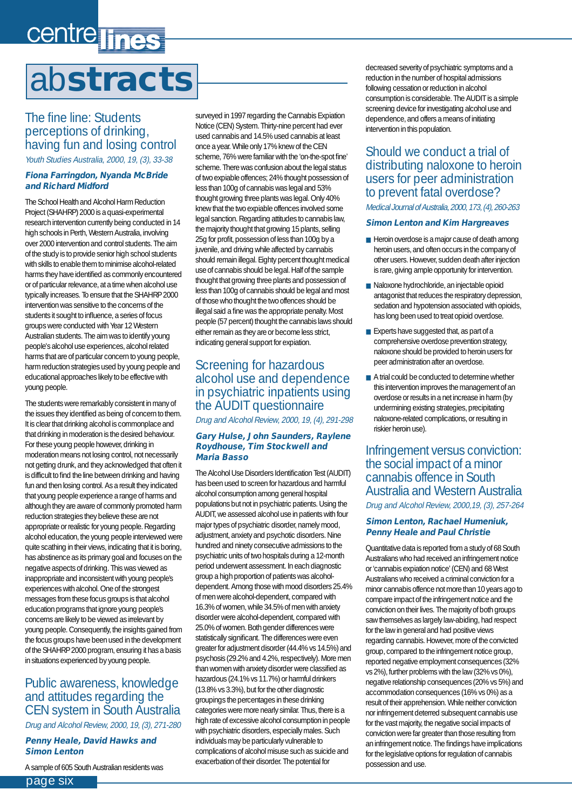# <span id="page-5-0"></span>centre lines ab**stracts**

### The fine line: Students perceptions of drinking, having fun and losing control

Youth Studies Australia, 2000, 19, (3), 33-38

#### **Fiona Farringdon, Nyanda McBride and Richard Midford**

The School Health and Alcohol Harm Reduction Project (SHAHRP) 2000 is a quasi-experimental research intervention currently being conducted in 14 high schools in Perth, Western Australia, involving over 2000 intervention and control students. The aim of the study is to provide senior high school students with skills to enable them to minimise alcohol-related harms they have identified as commonly encountered or of particular relevance, at a time when alcohol use typically increases. To ensure that the SHAHRP 2000 intervention was sensitive to the concerns of the students it sought to influence, a series of focus groups were conducted with Year 12 Western Australian students. The aim was to identify young people's alcohol use experiences, alcohol related harms that are of particular concern to young people, harm reduction strategies used by young people and educational approaches likely to be effective with young people.

The students were remarkably consistent in many of the issues they identified as being of concern to them. It is clear that drinking alcohol is commonplace and that drinking in moderation is the desired behaviour. For these young people however, drinking in moderation means not losing control, not necessarily not getting drunk, and they acknowledged that often it is difficult to find the line between drinking and having fun and then losing control. As a result they indicated that young people experience a range of harms and although they are aware of commonly promoted harm reduction strategies they believe these are not appropriate or realistic for young people. Regarding alcohol education, the young people interviewed were quite scathing in their views, indicating that it is boring, has abstinence as its primary goal and focuses on the negative aspects of drinking. This was viewed as inappropriate and inconsistent with young people's experiences with alcohol. One of the strongest messages from these focus groups is that alcohol education programs that ignore young people's concerns are likely to be viewed as irrelevant by young people. Consequently, the insights gained from the focus groups have been used in the development of the SHAHRP 2000 program, ensuring it has a basis in situations experienced by young people.

#### Public awareness, knowledge and attitudes regarding the CEN system in South Australia Drug and Alcohol Review, 2000, 19, (3), 271-280

#### **Penny Heale, David Hawks and Simon Lenton**

A sample of 605 South Australian residents was

surveyed in 1997 regarding the Cannabis Expiation Notice (CEN) System. Thirty-nine percent had ever used cannabis and 14.5% used cannabis at least once a year. While only 17% knew of the CEN scheme, 76% were familiar with the 'on-the-spot fine' scheme. There was confusion about the legal status of two expiable offences; 24% thought possession of less than 100g of cannabis was legal and 53% thought growing three plants was legal. Only 40% knew that the two expiable offences involved some legal sanction. Regarding attitudes to cannabis law, the majority thought that growing 15 plants, selling 25g for profit, possession of less than 100g by a juvenile, and driving while affected by cannabis should remain illegal. Eighty percent thought medical use of cannabis should be legal. Half of the sample thought that growing three plants and possession of less than 100g of cannabis should be legal and most of those who thought the two offences should be illegal said a fine was the appropriate penalty. Most people (57 percent) thought the cannabis laws should either remain as they are or become less strict, indicating general support for expiation.

#### Screening for hazardous alcohol use and dependence in psychiatric inpatients using the AUDIT questionnaire

Drug and Alcohol Review, 2000, 19, (4), 291-298

#### **Gary Hulse, John Saunders, Raylene Roydhouse, Tim Stockwell and Maria Basso**

The Alcohol Use Disorders Identification Test (AUDIT) has been used to screen for hazardous and harmful alcohol consumption among general hospital populations but not in psychiatric patients. Using the AUDIT, we assessed alcohol use in patients with four major types of psychiatric disorder, namely mood, adjustment, anxiety and psychotic disorders. Nine hundred and ninety consecutive admissions to the psychiatric units of two hospitals during a 12-month period underwent assessment. In each diagnostic group a high proportion of patients was alcoholdependent. Among those with mood disorders 25.4% of men were alcohol-dependent, compared with 16.3% of women, while 34.5% of men with anxiety disorder were alcohol-dependent, compared with 25.0% of women. Both gender differences were statistically significant. The differences were even greater for adjustment disorder (44.4% vs 14.5%) and psychosis (29.2% and 4.2%, respectively). More men than women with anxiety disorder were classified as hazardous (24.1% vs 11.7%) or harmful drinkers (13.8% vs 3.3%), but for the other diagnostic groupings the percentages in these drinking categories were more nearly similar. Thus, there is a high rate of excessive alcohol consumption in people with psychiatric disorders, especially males. Such individuals may be particularly vulnerable to complications of alcohol misuse such as suicide and exacerbation of their disorder. The potential for

decreased severity of psychiatric symptoms and a reduction in the number of hospital admissions following cessation or reduction in alcohol consumption is considerable. The AUDIT is a simple screening device for investigating alcohol use and dependence, and offers a means of initiating intervention in this population.

Should we conduct a trial of distributing naloxone to heroin users for peer administration to prevent fatal overdose? Medical Journal of Australia, 2000, 173, (4), 260-263

#### **Simon Lenton and Kim Hargreaves**

- Heroin overdose is a major cause of death among heroin users, and often occurs in the company of other users. However, sudden death after injection is rare, giving ample opportunity for intervention.
- Naloxone hydrochloride, an injectable opioid antagonist that reduces the respiratory depression, sedation and hypotension associated with opioids, has long been used to treat opioid overdose.
- Experts have suggested that, as part of a comprehensive overdose prevention strategy, naloxone should be provided to heroin users for peer administration after an overdose.
- A trial could be conducted to determine whether this intervention improves the management of an overdose or results in a net increase in harm (by undermining existing strategies, precipitating naloxone-related complications, or resulting in riskier heroin use).

Infringement versus conviction: the social impact of a minor cannabis offence in South Australia and Western Australia Drug and Alcohol Review, 2000,19, (3), 257-264

#### **Simon Lenton, Rachael Humeniuk, Penny Heale and Paul Christie**

Quantitative data is reported from a study of 68 South Australians who had received an infringement notice or 'cannabis expiation notice' (CEN) and 68 West Australians who received a criminal conviction for a minor cannabis offence not more than 10 years ago to compare impact of the infringement notice and the conviction on their lives. The majority of both groups saw themselves as largely law-abiding, had respect for the law in general and had positive views regarding cannabis. However, more of the convicted group, compared to the infringement notice group, reported negative employment consequences (32% vs 2%), further problems with the law (32% vs 0%), negative relationship consequences (20% vs 5%) and accommodation consequences (16% vs 0%) as a result of their apprehension. While neither conviction nor infringement deterred subsequent cannabis use for the vast majority, the negative social impacts of conviction were far greater than those resulting from an infringement notice. The findings have implications for the legislative options for regulation of cannabis possession and use.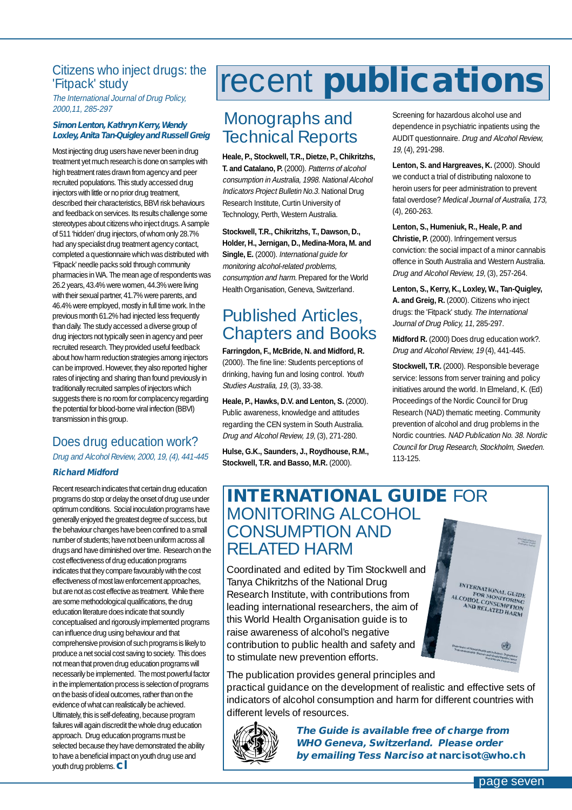# <span id="page-6-0"></span>'Fitpack' study

The International Journal of Drug Policy, 2000,11, 285-297

#### **Simon Lenton, Kathryn Kerry, Wendy Loxley, Anita Tan-Quigley and Russell Greig**

Most injecting drug users have never been in drug treatment yet much research is done on samples with high treatment rates drawn from agency and peer recruited populations. This study accessed drug injectors with little or no prior drug treatment, described their characteristics, BBVI risk behaviours and feedback on services. Its results challenge some stereotypes about citizens who inject drugs. A sample of 511 'hidden' drug injectors, of whom only 28.7% had any specialist drug treatment agency contact, completed a questionnaire which was distributed with 'Fitpack' needle packs sold through community pharmacies in WA. The mean age of respondents was 26.2 years, 43.4% were women, 44.3% were living with their sexual partner, 41.7% were parents, and 46.4% were employed, mostly in full time work. In the previous month 61.2% had injected less frequently than daily. The study accessed a diverse group of drug injectors not typically seen in agency and peer recruited research. They provided useful feedback about how harm reduction strategies among injectors can be improved. However, they also reported higher rates of injecting and sharing than found previously in traditionally recruited samples of injectors which suggests there is no room for complacency regarding the potential for blood-borne viral infection (BBVI) transmission in this group.

#### Does drug education work? Drug and Alcohol Review, 2000, 19, (4), 441-445

#### **Richard Midford**

Recent research indicates that certain drug education programs do stop or delay the onset of drug use under optimum conditions. Social inoculation programs have generally enjoyed the greatest degree of success, but the behaviour changes have been confined to a small number of students; have not been uniform across all drugs and have diminished over time. Research on the cost effectiveness of drug education programs indicates that they compare favourably with the cost effectiveness of most law enforcement approaches, but are not as cost effective as treatment. While there are some methodological qualifications, the drug education literature does indicate that soundly conceptualised and rigorously implemented programs can influence drug using behaviour and that comprehensive provision of such programs is likely to produce a net social cost saving to society. This does not mean that proven drug education programs will necessarily be implemented. The most powerful factor in the implementation process is selection of programs on the basis of ideal outcomes, rather than on the evidence of what can realistically be achieved. Ultimately, this is self-defeating, because program failures will again discredit the whole drug education approach. Drug education programs must be selected because they have demonstrated the ability to have a beneficial impact on youth drug use and youth drug problems. **cl**

# Citizens who inject drugs: the **recent publications**

## Monographs and Technical Reports

**Heale, P., Stockwell, T.R., Dietze, P., Chikritzhs, T. and Catalano, P.** (2000). Patterns of alcohol consumption in Australia, 1998. National Alcohol Indicators Project Bulletin No.3. National Drug Research Institute, Curtin University of Technology, Perth, Western Australia.

**Stockwell, T.R., Chikritzhs, T., Dawson, D., Holder, H., Jernigan, D., Medina-Mora, M. and Single, E.** (2000). International guide for monitoring alcohol-related problems, consumption and harm. Prepared for the World Health Organisation, Geneva, Switzerland.

# Published Articles, Chapters and Books

**Farringdon, F., McBride, N. and Midford, R.** (2000). The fine line: Students perceptions of drinking, having fun and losing control. Youth Studies Australia, 19, (3), 33-38.

**Heale, P., Hawks, D.V. and Lenton, S.** (2000). Public awareness, knowledge and attitudes regarding the CEN system in South Australia. Drug and Alcohol Review, 19, (3), 271-280.

**Hulse, G.K., Saunders, J., Roydhouse, R.M., Stockwell, T.R. and Basso, M.R.** (2000).

Screening for hazardous alcohol use and dependence in psychiatric inpatients using the AUDIT questionnaire. Drug and Alcohol Review, 19, (4), 291-298.

**Lenton, S. and Hargreaves, K.** (2000). Should we conduct a trial of distributing naloxone to heroin users for peer administration to prevent fatal overdose? Medical Journal of Australia, 173, (4), 260-263.

**Lenton, S., Humeniuk, R., Heale, P. and Christie, P.** (2000). Infringement versus conviction: the social impact of a minor cannabis offence in South Australia and Western Australia. Drug and Alcohol Review, 19, (3), 257-264.

**Lenton, S., Kerry, K., Loxley, W., Tan-Quigley, A. and Greig, R.** (2000). Citizens who inject drugs: the 'Fitpack' study. The International Journal of Drug Policy, 11, 285-297.

**Midford R.** (2000) Does drug education work?. Drug and Alcohol Review, 19 (4), 441-445.

**Stockwell, T.R.** (2000). Responsible beverage service: lessons from server training and policy initiatives around the world. In Elmeland, K. (Ed) Proceedings of the Nordic Council for Drug Research (NAD) thematic meeting. Community prevention of alcohol and drug problems in the Nordic countries. NAD Publication No. 38. Nordic Council for Drug Research, Stockholm, Sweden. 113-125.

INTERNATIONAL GUIDE<br>ALCOHOL CONNITORING<br>AND RELATED HARM

# **INTERNATIONAL GUIDE** FOR MONITORING ALCOHOL CONSUMPTION AND RELATED HARM

Coordinated and edited by Tim Stockwell and Tanya Chikritzhs of the National Drug Research Institute, with contributions from leading international researchers, the aim of this World Health Organisation guide is to raise awareness of alcohol's negative contribution to public health and safety and to stimulate new prevention efforts.

The publication provides general principles and practical guidance on the development of realistic and effective sets of indicators of alcohol consumption and harm for different countries with different levels of resources.



**The Guide is available free of charge from WHO Geneva, Switzerland. Please order by emailing Tess Narciso at narcisot@who.ch**